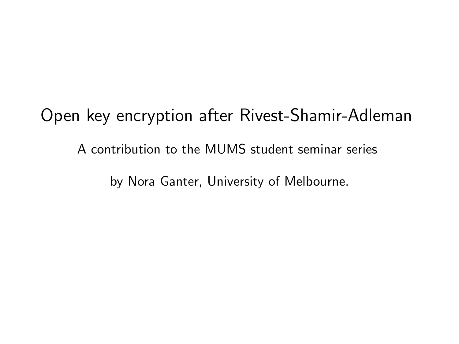Open key encryption after Rivest-Shamir-Adleman A contribution to the MUMS student seminar series by Nora Ganter, University of Melbourne.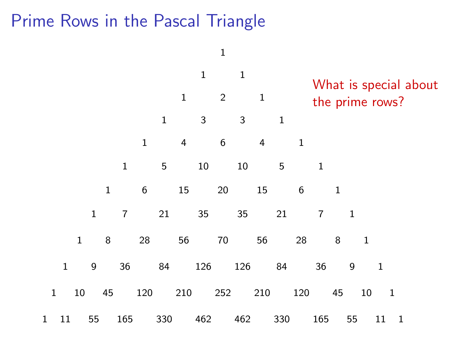## Prime Rows in the Pascal Triangle

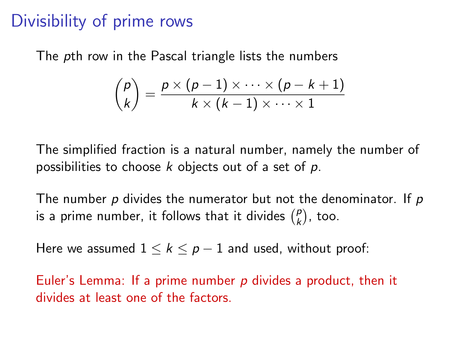## Divisibility of prime rows

The pth row in the Pascal triangle lists the numbers

$$
\binom{p}{k} = \frac{p \times (p-1) \times \cdots \times (p-k+1)}{k \times (k-1) \times \cdots \times 1}
$$

The simplified fraction is a natural number, namely the number of possibilities to choose k objects out of a set of  $p$ .

The number  $p$  divides the numerator but not the denominator. If  $p$ is a prime number, it follows that it divides  $\binom{p}{k}$  $\binom{p}{k}$ , too.

Here we assumed  $1 \leq k \leq p-1$  and used, without proof:

Euler's Lemma: If a prime number  $p$  divides a product, then it divides at least one of the factors.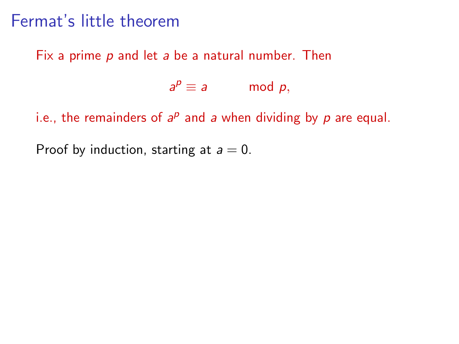#### Fermat's little theorem

Fix a prime p and let a be a natural number. Then

 $a^p \equiv a$  mod p,

i.e., the remainders of  $a^p$  and a when dividing by  $p$  are equal.

Proof by induction, starting at  $a = 0$ .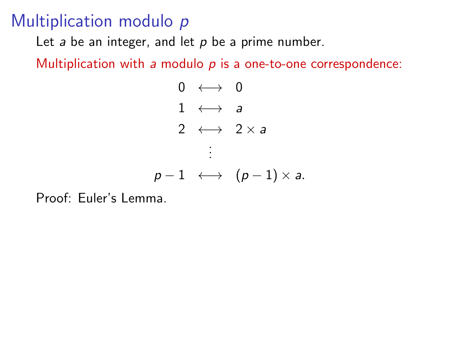#### Multiplication modulo p

Let  $a$  be an integer, and let  $p$  be a prime number.

Multiplication with a modulo  $p$  is a one-to-one correspondence:

$$
\begin{array}{rcl}0 & \longleftrightarrow & 0\\ & 1 & \longleftrightarrow & a\\ & 2 & \longleftrightarrow & 2 \times a \\ & & \vdots\\ & & \\ \rho-1 & \longleftrightarrow & (\rho-1) \times a.\end{array}
$$

Proof: Euler's Lemma.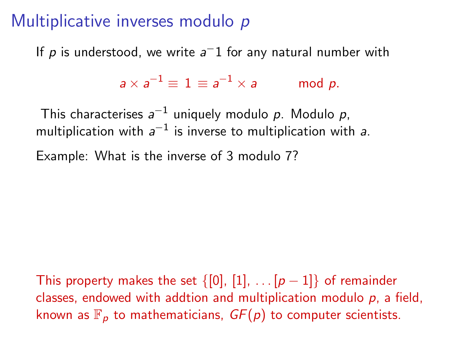## Multiplicative inverses modulo p

If  $p$  is understood, we write  $a^-1$  for any natural number with

 $a\times a^{-1}\equiv\,1\equiv a$  $mod p$ .

This characterises  $a^{-1}$  uniquely modulo  $p$ . Modulo  $p$ , multiplication with  $a^{-1}$  is inverse to multiplication with a.

Example: What is the inverse of 3 modulo 7?

This property makes the set  $\{0, 1, \ldots [p-1]\}$  of remainder classes, endowed with addtion and multiplication modulo  $p$ , a field, known as  $\mathbb{F}_p$  to mathematicians,  $GF(p)$  to computer scientists.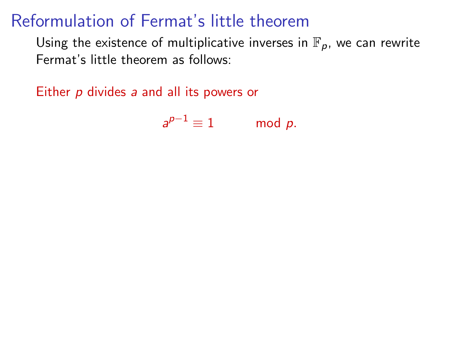## Reformulation of Fermat's little theorem

Using the existence of multiplicative inverses in  $\mathbb{F}_p$ , we can rewrite Fermat's little theorem as follows:

Either p divides a and all its powers or

 $a^{p-1} \equiv 1$  mod p.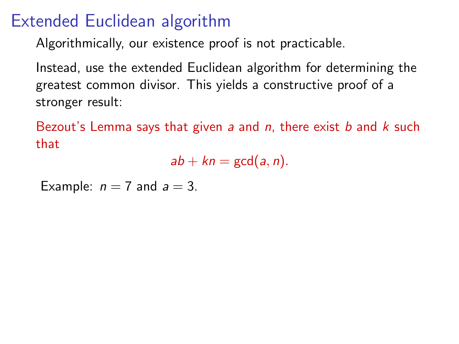## Extended Euclidean algorithm

Algorithmically, our existence proof is not practicable.

Instead, use the extended Euclidean algorithm for determining the greatest common divisor. This yields a constructive proof of a stronger result:

Bezout's Lemma says that given a and  $n$ , there exist  $b$  and  $k$  such that

 $ab + kn = \gcd(a, n)$ .

Example:  $n = 7$  and  $a = 3$ .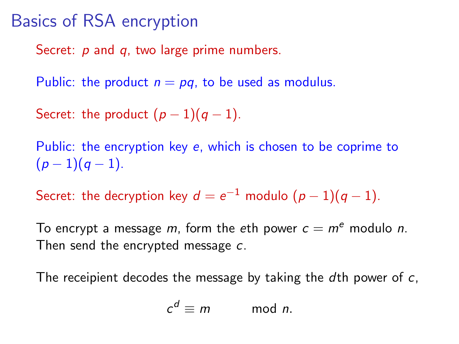#### Basics of RSA encryption

Secret: p and q, two large prime numbers.

Public: the product  $n = pq$ , to be used as modulus.

Secret: the product  $(p-1)(q-1)$ .

Public: the encryption key e, which is chosen to be coprime to  $(p-1)(q-1)$ .

Secret: the decryption key  $d=e^{-1}$  modulo  $(p-1)(q-1)$ .

To encrypt a message m, form the eth power  $c = m^e$  modulo n. Then send the encrypted message c.

The receipient decodes the message by taking the dth power of c,

$$
c^d \equiv m \qquad \mod n.
$$